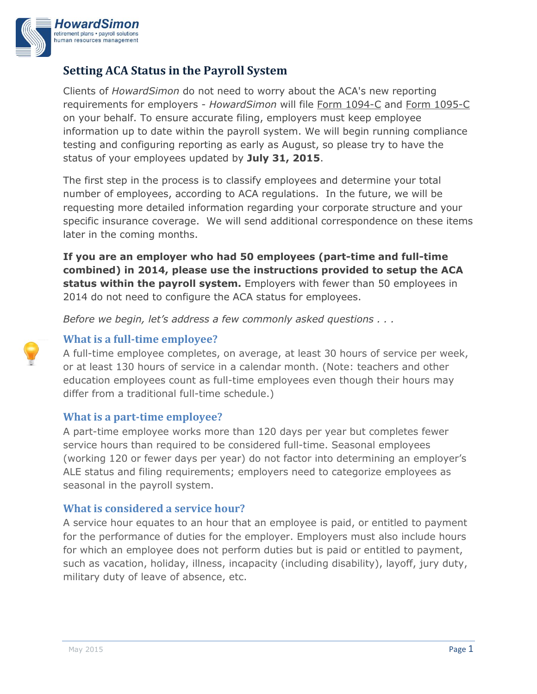

## **Setting ACA Status in the Payroll System**

Clients of *HowardSimon* do not need to worry about the ACA's new reporting requirements for employers - *HowardSimon* will file [Form 1094-C](http://www.irs.gov/pub/irs-pdf/f1094c.pdf) and [Form 1095-C](http://www.irs.gov/pub/irs-pdf/f1095c.pdf) on your behalf. To ensure accurate filing, employers must keep employee information up to date within the payroll system. We will begin running compliance testing and configuring reporting as early as August, so please try to have the status of your employees updated by **July 31, 2015**.

The first step in the process is to classify employees and determine your total number of employees, according to ACA regulations. In the future, we will be requesting more detailed information regarding your corporate structure and your specific insurance coverage. We will send additional correspondence on these items later in the coming months.

**If you are an employer who had 50 employees (part-time and full-time combined) in 2014, please use the instructions provided to setup the ACA status within the payroll system.** Employers with fewer than 50 employees in 2014 do not need to configure the ACA status for employees.

*Before we begin, let's address a few commonly asked questions . . .*



## **What is a full-time employee?**

A full-time employee completes, on average, at least 30 hours of service per week, or at least 130 hours of service in a calendar month. (Note: teachers and other education employees count as full-time employees even though their hours may differ from a traditional full-time schedule.)

### **What is a part-time employee?**

A part-time employee works more than 120 days per year but completes fewer service hours than required to be considered full-time. Seasonal employees (working 120 or fewer days per year) do not factor into determining an employer's ALE status and filing requirements; employers need to categorize employees as seasonal in the payroll system.

### **What is considered a service hour?**

A service hour equates to an hour that an employee is paid, or entitled to payment for the performance of duties for the employer. Employers must also include hours for which an employee does not perform duties but is paid or entitled to payment, such as vacation, holiday, illness, incapacity (including disability), layoff, jury duty, military duty of leave of absence, etc.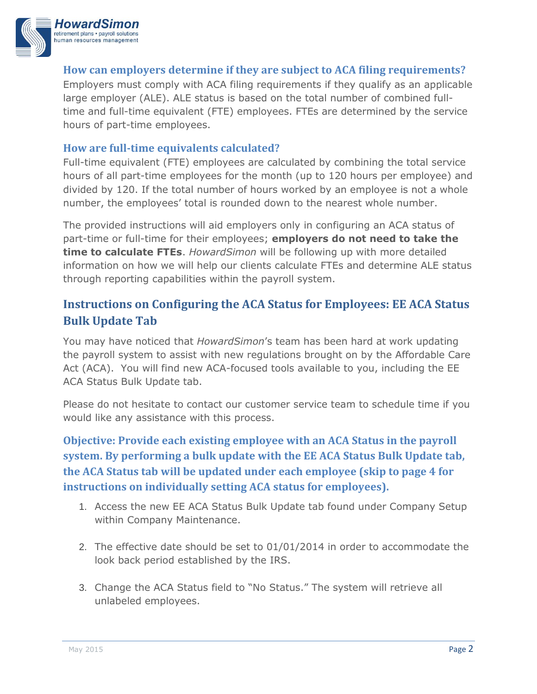

### **How can employers determine if they are subject to ACA filing requirements?**

Employers must comply with ACA filing requirements if they qualify as an applicable large employer (ALE). ALE status is based on the total number of combined fulltime and full-time equivalent (FTE) employees. FTEs are determined by the service hours of part-time employees.

### **How are full-time equivalents calculated?**

Full-time equivalent (FTE) employees are calculated by combining the total service hours of all part-time employees for the month (up to 120 hours per employee) and divided by 120. If the total number of hours worked by an employee is not a whole number, the employees' total is rounded down to the nearest whole number.

The provided instructions will aid employers only in configuring an ACA status of part-time or full-time for their employees; **employers do not need to take the time to calculate FTEs**. *HowardSimon* will be following up with more detailed information on how we will help our clients calculate FTEs and determine ALE status through reporting capabilities within the payroll system.

# **Instructions on Configuring the ACA Status for Employees: EE ACA Status Bulk Update Tab**

You may have noticed that *HowardSimon*'s team has been hard at work updating the payroll system to assist with new regulations brought on by the Affordable Care Act (ACA). You will find new ACA-focused tools available to you, including the EE ACA Status Bulk Update tab.

Please do not hesitate to contact our customer service team to schedule time if you would like any assistance with this process.

**Objective: Provide each existing employee with an ACA Status in the payroll system. By performing a bulk update with the EE ACA Status Bulk Update tab, the ACA Status tab will be updated under each employee (skip to page 4 for instructions on individually setting ACA status for employees).** 

- 1. Access the new EE ACA Status Bulk Update tab found under Company Setup within Company Maintenance.
- 2. The effective date should be set to 01/01/2014 in order to accommodate the look back period established by the IRS.
- 3. Change the ACA Status field to "No Status." The system will retrieve all unlabeled employees.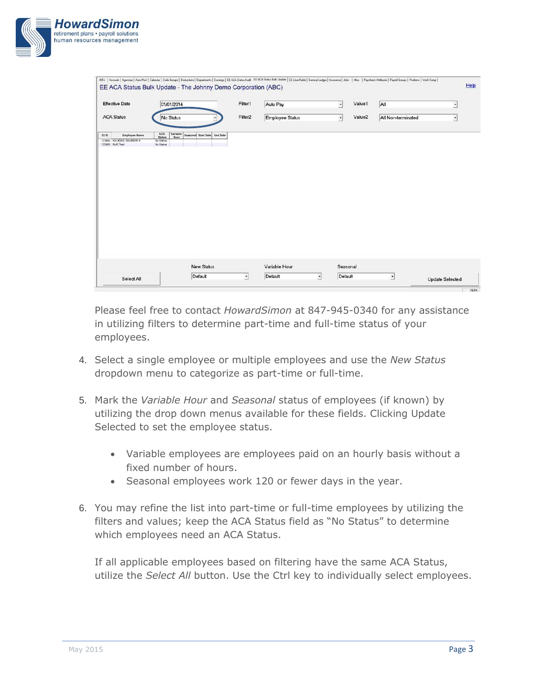

| <b>Effective Date</b>                                                            | 01/01/2014                                                         |                                 | Filter1             | Auto Pay               | $\overline{\phantom{a}}$ | Value1             | All                | $\overline{a}$ |
|----------------------------------------------------------------------------------|--------------------------------------------------------------------|---------------------------------|---------------------|------------------------|--------------------------|--------------------|--------------------|----------------|
| <b>ACA Status</b>                                                                | No Status                                                          |                                 | Filter <sub>2</sub> | <b>Employee Status</b> | $\cdot$                  | Value <sub>2</sub> | All Non-terminated | ₫              |
| EE ID<br><b>Employee Name</b><br>123454 HALIKIAS, SHANNON H<br>123485 Ruff, Test | ACA<br>Variable<br><b>Status</b><br>Hour<br>No Status<br>No Status | Seasonal Start Date<br>End Date |                     |                        |                          |                    |                    |                |
|                                                                                  |                                                                    |                                 |                     |                        |                          |                    |                    |                |
|                                                                                  |                                                                    |                                 |                     |                        |                          |                    |                    |                |
|                                                                                  |                                                                    |                                 |                     |                        |                          |                    |                    |                |
|                                                                                  |                                                                    |                                 |                     |                        |                          |                    |                    |                |
|                                                                                  |                                                                    |                                 |                     |                        |                          |                    |                    |                |
|                                                                                  |                                                                    |                                 |                     |                        |                          |                    |                    |                |
|                                                                                  |                                                                    |                                 |                     |                        |                          |                    |                    |                |
|                                                                                  |                                                                    |                                 |                     |                        |                          |                    |                    |                |
|                                                                                  |                                                                    | <b>New Status</b>               |                     | Variable Hour          |                          | Seasonal           |                    |                |

Please feel free to contact *HowardSimon* at 847-945-0340 for any assistance in utilizing filters to determine part-time and full-time status of your employees.

- 4. Select a single employee or multiple employees and use the *New Status* dropdown menu to categorize as part-time or full-time.
- 5. Mark the *Variable Hour* and *Seasonal* status of employees (if known) by utilizing the drop down menus available for these fields. Clicking Update Selected to set the employee status.
	- Variable employees are employees paid on an hourly basis without a fixed number of hours.
	- Seasonal employees work 120 or fewer days in the year.
- 6. You may refine the list into part-time or full-time employees by utilizing the filters and values; keep the ACA Status field as "No Status" to determine which employees need an ACA Status.

If all applicable employees based on filtering have the same ACA Status, utilize the *Select All* button. Use the Ctrl key to individually select employees.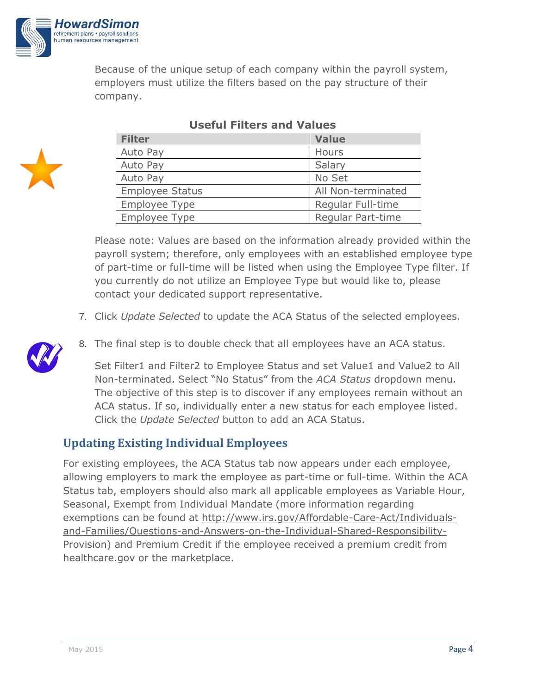

Because of the unique setup of each company within the payroll system, employers must utilize the filters based on the pay structure of their company.



| <b>Filter</b>          | <b>Value</b>       |
|------------------------|--------------------|
| Auto Pay               | <b>Hours</b>       |
| Auto Pay               | Salary             |
| Auto Pay               | No Set             |
| <b>Employee Status</b> | All Non-terminated |
| Employee Type          | Regular Full-time  |
| Employee Type          | Regular Part-time  |

## **Useful Filters and Values**

Please note: Values are based on the information already provided within the payroll system; therefore, only employees with an established employee type of part-time or full-time will be listed when using the Employee Type filter. If you currently do not utilize an Employee Type but would like to, please contact your dedicated support representative.

- 7. Click *Update Selected* to update the ACA Status of the selected employees.
- 8. The final step is to double check that all employees have an ACA status.

Set Filter1 and Filter2 to Employee Status and set Value1 and Value2 to All Non-terminated. Select "No Status" from the *ACA Status* dropdown menu. The objective of this step is to discover if any employees remain without an ACA status. If so, individually enter a new status for each employee listed. Click the *Update Selected* button to add an ACA Status.

# **Updating Existing Individual Employees**

For existing employees, the ACA Status tab now appears under each employee, allowing employers to mark the employee as part-time or full-time. Within the ACA Status tab, employers should also mark all applicable employees as Variable Hour, Seasonal, Exempt from Individual Mandate (more information regarding exemptions can be found at [http://www.irs.gov/Affordable-Care-Act/Individuals](http://www.irs.gov/Affordable-Care-Act/Individuals-and-Families/Questions-and-Answers-on-the-Individual-Shared-Responsibility-Provision)[and-Families/Questions-and-Answers-on-the-Individual-Shared-Responsibility-](http://www.irs.gov/Affordable-Care-Act/Individuals-and-Families/Questions-and-Answers-on-the-Individual-Shared-Responsibility-Provision)[Provision\)](http://www.irs.gov/Affordable-Care-Act/Individuals-and-Families/Questions-and-Answers-on-the-Individual-Shared-Responsibility-Provision) and Premium Credit if the employee received a premium credit from healthcare.gov or the marketplace.

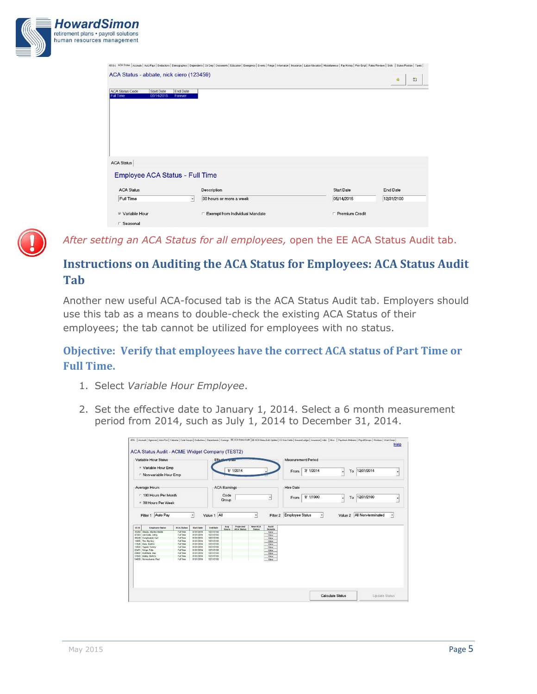| <b>HowardSimon</b><br>retirement plans · payroll solutions<br>human resources management |                                                                               |                                                                                                                                                                                                                                |                   |            |
|------------------------------------------------------------------------------------------|-------------------------------------------------------------------------------|--------------------------------------------------------------------------------------------------------------------------------------------------------------------------------------------------------------------------------|-------------------|------------|
|                                                                                          |                                                                               | 401(k) ACA Status   Accruals   Auto Pays   Deductions   Demographics   Dependents   Dir Dep   Documents   Education   Emmgency   Events   Fringe   Information   Insuance   Labor Allocation   Miscellaneous   Pay History   P |                   |            |
|                                                                                          | ACA Status - abbate, nick ciero (123459)                                      |                                                                                                                                                                                                                                |                   | 鸖<br>*     |
|                                                                                          | <b>ACA Status Code</b><br><b>Start Date</b><br><b>Full Time</b><br>05/14/2015 | <b>End Date</b><br>Forever                                                                                                                                                                                                     |                   |            |
|                                                                                          | <b>ACA Status</b>                                                             |                                                                                                                                                                                                                                |                   |            |
|                                                                                          | Employee ACA Status - Full Time                                               |                                                                                                                                                                                                                                |                   |            |
|                                                                                          | <b>ACA Status</b>                                                             | Description                                                                                                                                                                                                                    | <b>Start Date</b> | End Date   |
|                                                                                          | Full Time                                                                     | 30 hours or more a week<br>$\cdot$                                                                                                                                                                                             | 05/14/2015        | 12/31/2100 |
|                                                                                          | <b>▽ Variable Hour</b>                                                        | F Exempt from Individual Mandate                                                                                                                                                                                               | F Premium Credit  |            |
|                                                                                          | □ Seasonal                                                                    |                                                                                                                                                                                                                                |                   |            |



*After setting an ACA Status for all employees,* open the EE ACA Status Audit tab.

# **Instructions on Auditing the ACA Status for Employees: ACA Status Audit Tab**

Another new useful ACA-focused tab is the ACA Status Audit tab. Employers should use this tab as a means to double-check the existing ACA Status of their employees; the tab cannot be utilized for employees with no status.

## **Objective: Verify that employees have the correct ACA status of Part Time or Full Time.**

- 1. Select *Variable Hour Employee*.
- 2. Set the effective date to January 1, 2014. Select a 6 month measurement period from 2014, such as July 1, 2014 to December 31, 2014.

|                                                                                                  | Variable Hour Status<br><sup>®</sup> Variable Hour Emp |                        |                          | Effective                | وتورده ومراسل       |                   |               |                 |                          | <b>Measurement Period</b> |   |    |                            |   |
|--------------------------------------------------------------------------------------------------|--------------------------------------------------------|------------------------|--------------------------|--------------------------|---------------------|-------------------|---------------|-----------------|--------------------------|---------------------------|---|----|----------------------------|---|
|                                                                                                  | Mon-variable Hour Emp                                  |                        |                          |                          |                     | 1/ 1/2014         |               |                 | From                     | 7/ 1/2014                 | ٠ | To | 12/31/2014                 |   |
| Average Hours                                                                                    |                                                        |                        |                          |                          | <b>ACA Earnings</b> |                   |               |                 | <b>Hire Date</b>         |                           |   |    |                            |   |
|                                                                                                  | ○ 130 Hours Per Month<br>6 30 Hours Per Week           |                        |                          |                          | Code<br>Group       |                   |               | $\bullet$       | From                     | 1/ 1/1900                 | ٠ | To | 12/31/2100                 |   |
|                                                                                                  | Filter 1 Auto Pay                                      |                        | $\cdot$                  | Value 1 All              |                     |                   | $\cdot$       |                 | Filter 2 Employee Status | $\cdot$                   |   |    | Value 2 All Non-terminated | ٠ |
| EE ID                                                                                            | <b>Employee Name</b>                                   | <b>ACA Status</b>      | <b>Start Date</b>        | <b>End Date</b>          | Avg                 | Projected         | New ACA       | Audit           |                          |                           |   |    |                            |   |
|                                                                                                  | 45262 Steady, Stanley Middle                           | Full Time              | 01/01/2014               | 12/31/2100               | <b>Hours</b>        | <b>ACA Status</b> | <b>Status</b> | Results<br>View |                          |                           |   |    |                            |   |
| 67563 Job Code, Johny                                                                            |                                                        | Full Time              | 01/01/2014               | 12/31/2100               |                     |                   |               | View            |                          |                           |   |    |                            |   |
| 88246 Complicated, Carl                                                                          |                                                        | Full Time              | 01/01/2014               | 12/31/2100               |                     |                   |               | View            |                          |                           |   |    |                            |   |
| 10085 The, Big Ouy                                                                               |                                                        | Full Time              | 01/01/2014               | 12/31/2100               |                     |                   |               | View            |                          |                           |   |    |                            |   |
| 11526 Mary, MutiCo                                                                               |                                                        | Full Time              | 01/01/2014               | 12/31/2100               |                     |                   |               | Vew             |                          |                           |   |    |                            |   |
| 15054 Tipped, Tommy                                                                              |                                                        | Full Time              | 01/01/2014               | 12/31/2100               |                     |                   |               | View            |                          |                           |   |    |                            |   |
|                                                                                                  |                                                        | Full Time              | 01/01/2014               | 12/31/2100<br>12/31/2100 |                     |                   |               | View            |                          |                           |   |    |                            |   |
|                                                                                                  |                                                        |                        |                          |                          |                     |                   |               | View            |                          |                           |   |    |                            |   |
|                                                                                                  |                                                        | Full Time              | 01/01/2014               |                          |                     |                   |               |                 |                          |                           |   |    |                            |   |
| 22471 Fringe, Felix<br>25682 MultiState, Max.<br>33543 Bobby, BothCo<br>54689 Pennsylvania, Paul |                                                        | Full Time<br>Full Time | 01/01/2014<br>01/01/2014 | 12/31/2100<br>12/31/2100 |                     |                   |               | View<br>Vew     |                          |                           |   |    |                            |   |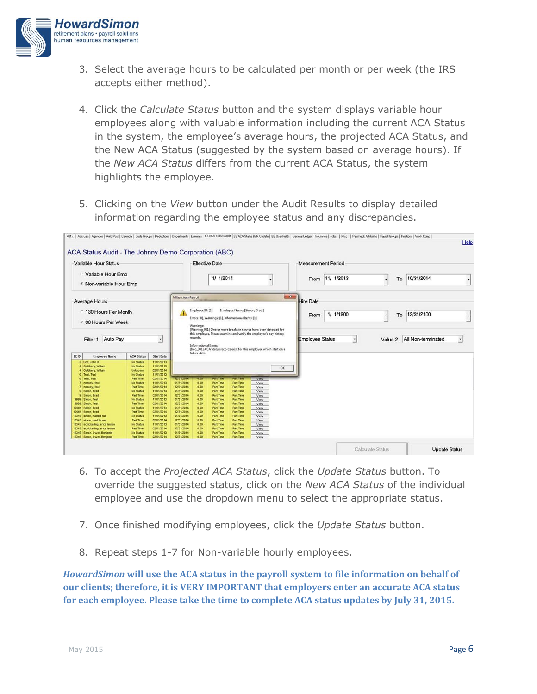

- 3. Select the average hours to be calculated per month or per week (the IRS accepts either method).
- 4. Click the *Calculate Status* button and the system displays variable hour employees along with valuable information including the current ACA Status in the system, the employee's average hours, the projected ACA Status, and the New ACA Status (suggested by the system based on average hours). If the *New ACA Status* differs from the current ACA Status, the system highlights the employee.
- 5. Clicking on the *View* button under the Audit Results to display detailed information regarding the employee status and any discrepancies.

|                                                        |                                                             |                                                              |                                                      | <b>Effective Date</b>    |                                         |                                                      |                               |                                                                                                                                                                                                                     |      | <b>Measurement Period</b> |           |         |            |                            |  |                          |
|--------------------------------------------------------|-------------------------------------------------------------|--------------------------------------------------------------|------------------------------------------------------|--------------------------|-----------------------------------------|------------------------------------------------------|-------------------------------|---------------------------------------------------------------------------------------------------------------------------------------------------------------------------------------------------------------------|------|---------------------------|-----------|---------|------------|----------------------------|--|--------------------------|
|                                                        | Variable Hour Emp<br><sup>6</sup> Non-variable Hour Emp     |                                                              |                                                      | 1/ 1/2014                |                                         |                                                      |                               |                                                                                                                                                                                                                     | From | 11/ 1/2013                |           | To<br>٠ | 10/31/2014 |                            |  |                          |
|                                                        | <b>Average Hours</b>                                        |                                                              |                                                      | Millennium Payroll       |                                         |                                                      |                               |                                                                                                                                                                                                                     |      | <b>Hire Date</b>          |           |         |            |                            |  |                          |
|                                                        | <sup>c</sup> 130 Hours Per Month                            |                                                              |                                                      | А                        | Employee ID: [9]<br>Warnings:           | Errors: [0], Warnings: [1], Informational Items: [1] | Employee Name: [Simon, Brad ] |                                                                                                                                                                                                                     |      | From                      | 1/ 1/1900 |         | To<br>٠    | 12/31/2100                 |  |                          |
| 6 30 Hours Per Week<br>Filter 1 Auto Pay<br>$\check{}$ |                                                             |                                                              |                                                      |                          | records.<br><b>Informational Items:</b> |                                                      |                               | [Warning_001] One or more breaks in service have been detected for<br>this employee. Please examine and verify the employee's pay history<br>[Info_001] ACA Status records exist for this employee which start on a |      | <b>Employee Status</b>    |           | ⊣       |            | Value 2 All Non-terminated |  | $\overline{\phantom{a}}$ |
| EE ID                                                  | <b>Employee Name</b>                                        | <b>ACA Status</b>                                            | <b>Start Date</b>                                    |                          | future date.                            |                                                      |                               |                                                                                                                                                                                                                     |      |                           |           |         |            |                            |  |                          |
| 6 Test, Test                                           | 2 Doe, John D<br>4 Goldberg, William<br>4 Goldberg, William | No Status<br><b>No Status</b><br>Unknown<br><b>No Status</b> | 11/01/2013<br>11/01/2013<br>02/01/2014<br>11/01/2013 |                          |                                         |                                                      |                               |                                                                                                                                                                                                                     | OK   |                           |           |         |            |                            |  |                          |
| 6 Test, Test                                           |                                                             | <b>Part Time</b>                                             | 02/01/2014                                           | <b><i>SPASIFORES</i></b> | الأناباء                                | <b>Branch</b>                                        | a sanat                       | Vew                                                                                                                                                                                                                 |      |                           |           |         |            |                            |  |                          |
|                                                        | 7 nobody, fool<br>7 nobody, fool                            | <b>No Status</b><br><b>Part Time</b>                         | 11/01/2013<br>02/01/2014                             | 01/31/2014<br>12/31/2014 | 0.00<br>0.00                            | Part Time<br><b>Part Time</b>                        | Part Time<br>Part Time        | View<br>View                                                                                                                                                                                                        |      |                           |           |         |            |                            |  |                          |
|                                                        | 9 Simon, Brad                                               | <b>No Status</b>                                             | 11/01/2013                                           | 01/31/2014               | 0.00                                    | <b>Part Time</b>                                     | Part Time                     | View                                                                                                                                                                                                                |      |                           |           |         |            |                            |  |                          |
|                                                        | 9 Simon, Brad                                               | Part Time                                                    | 02/01/2014                                           | 12/31/2014               | 0.00                                    | Part Time                                            | Part Time                     | View                                                                                                                                                                                                                |      |                           |           |         |            |                            |  |                          |
| 9999 Simon, Test                                       |                                                             | <b>No Status</b>                                             | 11/01/2013                                           | 01/31/2014               | 0.00                                    | Part Time                                            | <b>Part Time</b>              | View                                                                                                                                                                                                                |      |                           |           |         |            |                            |  |                          |
| 9999                                                   | Simon, Test                                                 | <b>Part Time</b>                                             | 02/01/2014                                           | 12/31/2014               | 0.00                                    | Part Time                                            | Part Time                     | View                                                                                                                                                                                                                |      |                           |           |         |            |                            |  |                          |
| 10001                                                  | Simon, Brad                                                 | <b>No Status</b>                                             | 11/01/2013                                           | 01/31/2014               | 0.00                                    | Part Time                                            | Part Time                     | View                                                                                                                                                                                                                |      |                           |           |         |            |                            |  |                          |
| 10001<br>12345                                         | Simon, Brad<br>simon, maddle rae                            | <b>Part Time</b><br><b>No Status</b>                         | 02/01/2014<br>11/01/2013                             | 12/31/2014<br>01/31/2014 | 0.00<br>0.00                            | <b>Part Time</b><br>Part Time                        | <b>Part Time</b><br>Part Time | View<br>View                                                                                                                                                                                                        |      |                           |           |         |            |                            |  |                          |
|                                                        | 12345 simon, maddle rae                                     | <b>Part Time</b>                                             | 02/01/2014                                           | 12/31/2014               | 0.00                                    | Part Time                                            | Part Time                     | View                                                                                                                                                                                                                |      |                           |           |         |            |                            |  |                          |
|                                                        | 12345 schickering, erica lauren                             | <b>No Status</b>                                             | 11/01/2013                                           | 01/31/2014               | 0.00                                    | <b>Part Time</b>                                     | <b>Part Time</b>              | View                                                                                                                                                                                                                |      |                           |           |         |            |                            |  |                          |
|                                                        | 12345 schickerling, erica lauren                            | Part Time                                                    | 02/01/2014                                           | 12/31/2014               | 0.00                                    | <b>Part Time</b>                                     | Part Time                     | View                                                                                                                                                                                                                |      |                           |           |         |            |                            |  |                          |
|                                                        | 12346 Simon, Owen Benjamin                                  | <b>No Status</b>                                             | 11/01/2013                                           | 01/31/2014               | 0.00                                    | Part Time                                            | <b>Part Time</b>              | View                                                                                                                                                                                                                |      |                           |           |         |            |                            |  |                          |

- 6. To accept the *Projected ACA Status*, click the *Update Status* button. To override the suggested status, click on the *New ACA Status* of the individual employee and use the dropdown menu to select the appropriate status.
- 7. Once finished modifying employees, click the *Update Status* button.
- 8. Repeat steps 1-7 for Non-variable hourly employees.

*HowardSimon* **will use the ACA status in the payroll system to file information on behalf of our clients; therefore, it is VERY IMPORTANT that employers enter an accurate ACA status for each employee. Please take the time to complete ACA status updates by July 31, 2015.**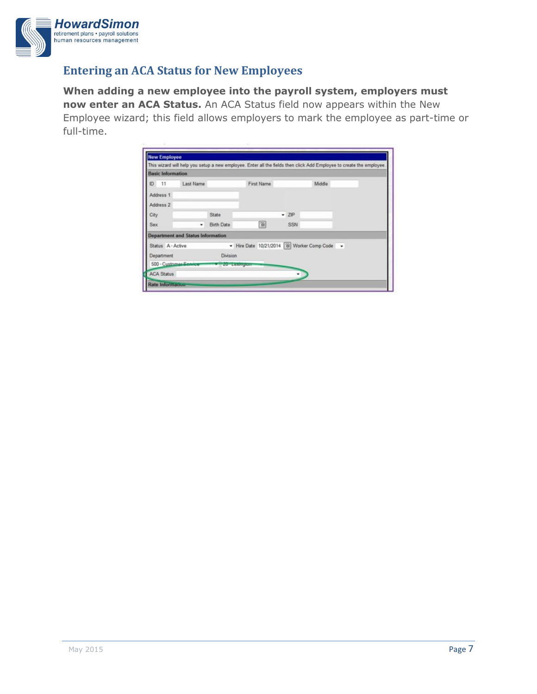

## **Entering an ACA Status for New Employees**

**When adding a new employee into the payroll system, employers must now enter an ACA Status.** An ACA Status field now appears within the New Employee wizard; this field allows employers to mark the employee as part-time or full-time.

| <b>Basic Information</b> |                                          |                    |                                             |  |         |  |        |  |  |
|--------------------------|------------------------------------------|--------------------|---------------------------------------------|--|---------|--|--------|--|--|
| ID 11                    | Last Name                                |                    | First Name                                  |  |         |  | Middle |  |  |
| Address 1                |                                          |                    |                                             |  |         |  |        |  |  |
| Address 2                |                                          |                    |                                             |  |         |  |        |  |  |
| City                     |                                          | State              |                                             |  | $-$ ZIP |  |        |  |  |
| Sex                      |                                          | Birth Date         | $\overline{\mathbf{Q}}$                     |  | SSN     |  |        |  |  |
|                          | <b>Department and Status Information</b> |                    |                                             |  |         |  |        |  |  |
| Status A - Active        |                                          |                    | + Hire Date 10/21/2014 & Worker Comp Code + |  |         |  |        |  |  |
| Department               |                                          | <b>Division</b>    |                                             |  |         |  |        |  |  |
| 500 - Customer-Service   |                                          | <b>ZO ECAMPION</b> |                                             |  |         |  |        |  |  |
| <b>ACA Status</b>        |                                          |                    |                                             |  |         |  |        |  |  |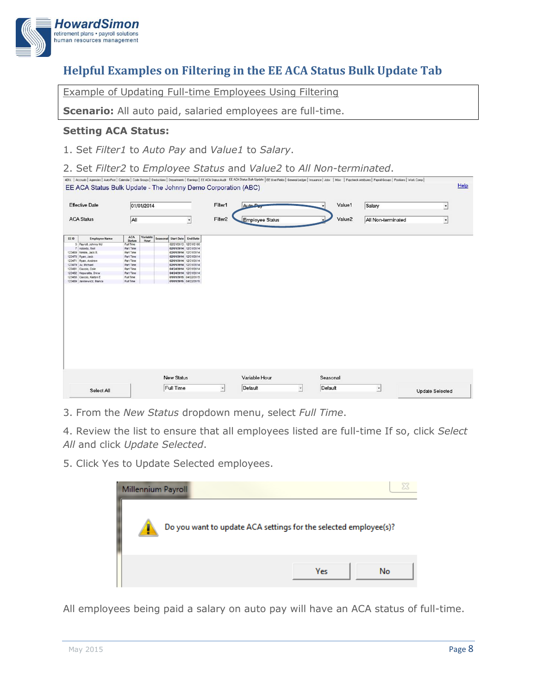

# **Helpful Examples on Filtering in the EE ACA Status Bulk Update Tab**

Example of Updating Full-time Employees Using Filtering

**Scenario:** All auto paid, salaried employees are full-time.

#### **Setting ACA Status:**

1. Set *Filter1* to *Auto Pay* and *Value1* to *Salary*.

2. Set *Filter2* to *Employee Status* and *Value2* to *All Non-terminated*.

| Filter <sub>2</sub><br>Value2<br><b>ACA Status</b><br>All<br><b>Employee Status</b><br>All Non-terminated<br>$\blacktriangledown$<br>$\overline{\phantom{a}}$<br><b>ACA</b><br>Variable<br>Seasonal<br>Start Date End Date<br><b>Employee Name</b><br><b>Status</b><br>Hour<br>5 Payrol, Johnny MJ<br>02/21/2013 12/31/2100<br>Full Time<br>7 nobody, fool<br>Part Time<br>02/01/2014 12/31/2014<br>02/01/2014 12/31/2014<br>123469 Nimble, Jack B.<br>Part Time<br>Part Time<br>02/01/2014 12/31/2014<br>123470 Ryan, Jack<br>123471 Ryan, Andrew<br>Part Time<br>02/01/2014 12/31/2014<br>123479 Ju, Michael<br>Part Time<br>02/01/2014 12/31/2014<br>04/24/2014 12/31/2014<br>123481<br>Ciaccio, Colin<br>Part Time<br>04/24/2014 12/31/2014<br>123482 Kepuratis, Drew<br>Part Time<br>01/01/2015 04/22/2015<br>123488 Ciaccio, Katlyn E<br>Full Time<br>123489 Janklewicz, Bianca<br>Full Time<br>01/01/2015 04/22/2015 | <b>Effective Date</b> |  | 01/01/2014 |  |  |                   |  | Auto Pay |               | Value1   | Salary | $\bullet$ |  |  |
|-----------------------------------------------------------------------------------------------------------------------------------------------------------------------------------------------------------------------------------------------------------------------------------------------------------------------------------------------------------------------------------------------------------------------------------------------------------------------------------------------------------------------------------------------------------------------------------------------------------------------------------------------------------------------------------------------------------------------------------------------------------------------------------------------------------------------------------------------------------------------------------------------------------------------------|-----------------------|--|------------|--|--|-------------------|--|----------|---------------|----------|--------|-----------|--|--|
|                                                                                                                                                                                                                                                                                                                                                                                                                                                                                                                                                                                                                                                                                                                                                                                                                                                                                                                             |                       |  |            |  |  |                   |  |          |               |          |        |           |  |  |
|                                                                                                                                                                                                                                                                                                                                                                                                                                                                                                                                                                                                                                                                                                                                                                                                                                                                                                                             | EE ID                 |  |            |  |  |                   |  |          |               |          |        |           |  |  |
|                                                                                                                                                                                                                                                                                                                                                                                                                                                                                                                                                                                                                                                                                                                                                                                                                                                                                                                             |                       |  |            |  |  |                   |  |          |               |          |        |           |  |  |
|                                                                                                                                                                                                                                                                                                                                                                                                                                                                                                                                                                                                                                                                                                                                                                                                                                                                                                                             |                       |  |            |  |  |                   |  |          |               |          |        |           |  |  |
|                                                                                                                                                                                                                                                                                                                                                                                                                                                                                                                                                                                                                                                                                                                                                                                                                                                                                                                             |                       |  |            |  |  |                   |  |          |               |          |        |           |  |  |
|                                                                                                                                                                                                                                                                                                                                                                                                                                                                                                                                                                                                                                                                                                                                                                                                                                                                                                                             |                       |  |            |  |  |                   |  |          |               |          |        |           |  |  |
|                                                                                                                                                                                                                                                                                                                                                                                                                                                                                                                                                                                                                                                                                                                                                                                                                                                                                                                             |                       |  |            |  |  |                   |  |          |               |          |        |           |  |  |
|                                                                                                                                                                                                                                                                                                                                                                                                                                                                                                                                                                                                                                                                                                                                                                                                                                                                                                                             |                       |  |            |  |  |                   |  |          |               |          |        |           |  |  |
|                                                                                                                                                                                                                                                                                                                                                                                                                                                                                                                                                                                                                                                                                                                                                                                                                                                                                                                             |                       |  |            |  |  |                   |  |          |               |          |        |           |  |  |
|                                                                                                                                                                                                                                                                                                                                                                                                                                                                                                                                                                                                                                                                                                                                                                                                                                                                                                                             |                       |  |            |  |  |                   |  |          |               |          |        |           |  |  |
|                                                                                                                                                                                                                                                                                                                                                                                                                                                                                                                                                                                                                                                                                                                                                                                                                                                                                                                             |                       |  |            |  |  |                   |  |          |               |          |        |           |  |  |
|                                                                                                                                                                                                                                                                                                                                                                                                                                                                                                                                                                                                                                                                                                                                                                                                                                                                                                                             |                       |  |            |  |  |                   |  |          |               |          |        |           |  |  |
|                                                                                                                                                                                                                                                                                                                                                                                                                                                                                                                                                                                                                                                                                                                                                                                                                                                                                                                             |                       |  |            |  |  | <b>New Status</b> |  |          | Variable Hour | Seasonal |        |           |  |  |

3. From the *New Status* dropdown menu, select *Full Time*.

4. Review the list to ensure that all employees listed are full-time If so, click *Select All* and click *Update Selected*.

5. Click Yes to Update Selected employees.



All employees being paid a salary on auto pay will have an ACA status of full-time.